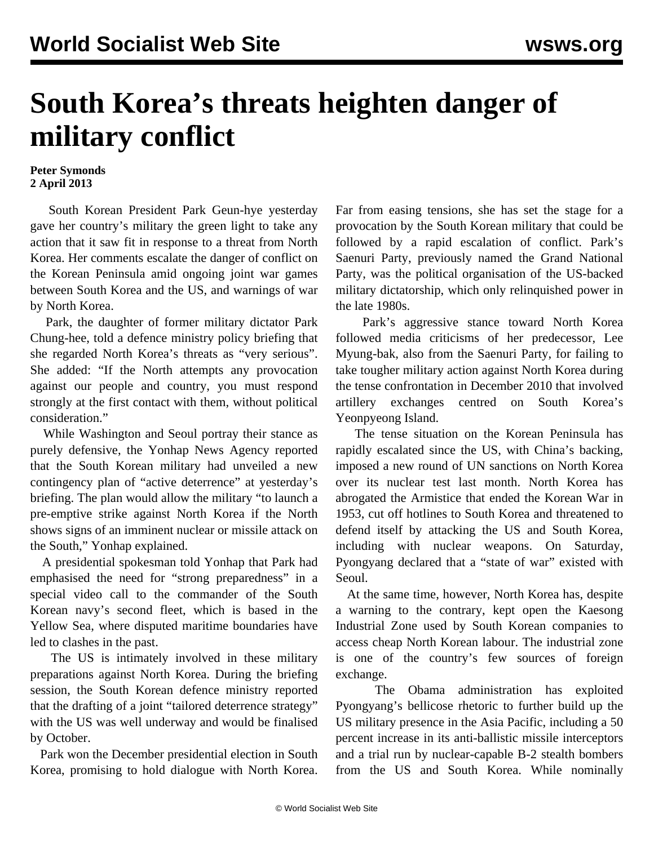## **South Korea's threats heighten danger of military conflict**

## **Peter Symonds 2 April 2013**

 South Korean President Park Geun-hye yesterday gave her country's military the green light to take any action that it saw fit in response to a threat from North Korea. Her comments escalate the danger of conflict on the Korean Peninsula amid ongoing joint war games between South Korea and the US, and warnings of war by North Korea.

 Park, the daughter of former military dictator Park Chung-hee, told a defence ministry policy briefing that she regarded North Korea's threats as "very serious". She added: "If the North attempts any provocation against our people and country, you must respond strongly at the first contact with them, without political consideration."

 While Washington and Seoul portray their stance as purely defensive, the Yonhap News Agency reported that the South Korean military had unveiled a new contingency plan of "active deterrence" at yesterday's briefing. The plan would allow the military "to launch a pre-emptive strike against North Korea if the North shows signs of an imminent nuclear or missile attack on the South," Yonhap explained.

 A presidential spokesman told Yonhap that Park had emphasised the need for "strong preparedness" in a special video call to the commander of the South Korean navy's second fleet, which is based in the Yellow Sea, where disputed maritime boundaries have led to clashes in the past.

 The US is intimately involved in these military preparations against North Korea. During the briefing session, the South Korean defence ministry reported that the drafting of a joint "tailored deterrence strategy" with the US was well underway and would be finalised by October.

 Park won the December presidential election in South Korea, promising to hold dialogue with North Korea.

Far from easing tensions, she has set the stage for a provocation by the South Korean military that could be followed by a rapid escalation of conflict. Park's Saenuri Party, previously named the Grand National Party, was the political organisation of the US-backed military dictatorship, which only relinquished power in the late 1980s.

 Park's aggressive stance toward North Korea followed media criticisms of her predecessor, Lee Myung-bak, also from the Saenuri Party, for failing to take tougher military action against North Korea during the tense confrontation in December 2010 that involved artillery exchanges centred on South Korea's Yeonpyeong Island.

 The tense situation on the Korean Peninsula has rapidly escalated since the US, with China's backing, imposed a new round of UN sanctions on North Korea over its nuclear test last month. North Korea has abrogated the Armistice that ended the Korean War in 1953, cut off hotlines to South Korea and threatened to defend itself by attacking the US and South Korea, including with nuclear weapons. On Saturday, Pyongyang declared that a "state of war" existed with Seoul.

 At the same time, however, North Korea has, despite a warning to the contrary, kept open the Kaesong Industrial Zone used by South Korean companies to access cheap North Korean labour. The industrial zone is one of the country's few sources of foreign exchange.

 The Obama administration has exploited Pyongyang's bellicose rhetoric to further build up the US military presence in the Asia Pacific, including a 50 percent increase in its anti-ballistic missile interceptors and a trial run by nuclear-capable B-2 stealth bombers from the US and South Korea. While nominally